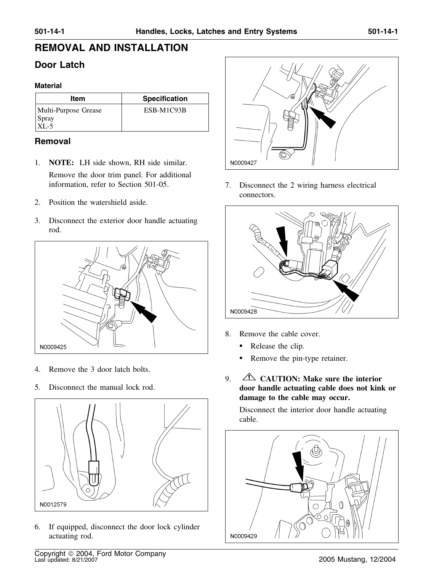# **REMOVAL AND INSTALLATION**

## **Door Latch**

#### **Material**

| Item                                       | <b>Specification</b> |
|--------------------------------------------|----------------------|
| Multi-Purpose Grease<br>$S$ pray<br>$XL-5$ | ESB-M1C93B           |

### **Removal**

- 1. **NOTE:** LH side shown, RH side similar. Remove the door trim panel. For additional information, refer to Section 501-05. 7. Disconnect the 2 wiring harness electrical
- 2. Position the watershield aside.
- 3. Disconnect the exterior door handle actuating rod.



- 4. Remove the 3 door latch bolts.
- 



6. If equipped, disconnect the door lock cylinder actuating rod.



connectors.



- 8. Remove the cable cover.
	- •Release the clip.
	- •Remove the pin-type retainer.
- 9. **CAUTION: Make sure the interior** 5. Disconnect the manual lock rod. **door handle actuating cable does not kink or damage to the cable may occur.**

Disconnect the interior door handle actuating cable.

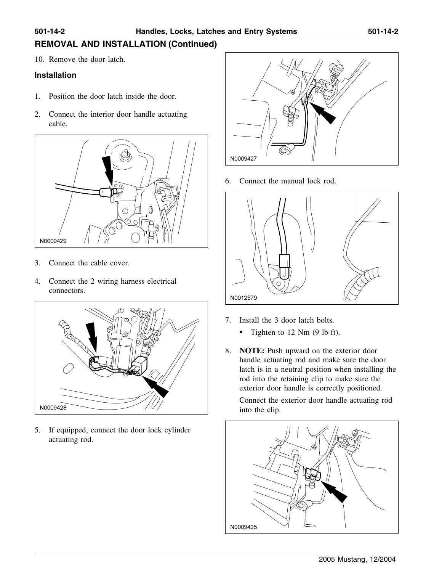## **REMOVAL AND INSTALLATION (Continued)**

10. Remove the door latch.

#### **Installation**

- 1. Position the door latch inside the door.
- 2. Connect the interior door handle actuating cable.



- 3. Connect the cable cover.
- 4. Connect the 2 wiring harness electrical connectors.



5. If equipped, connect the door lock cylinder actuating rod.



6. Connect the manual lock rod.



- 7. Install the 3 door latch bolts.
	- •Tighten to 12 Nm (9 lb-ft).
- 8. **NOTE:** Push upward on the exterior door handle actuating rod and make sure the door latch is in a neutral position when installing the rod into the retaining clip to make sure the exterior door handle is correctly positioned.

Connect the exterior door handle actuating rod into the clip.